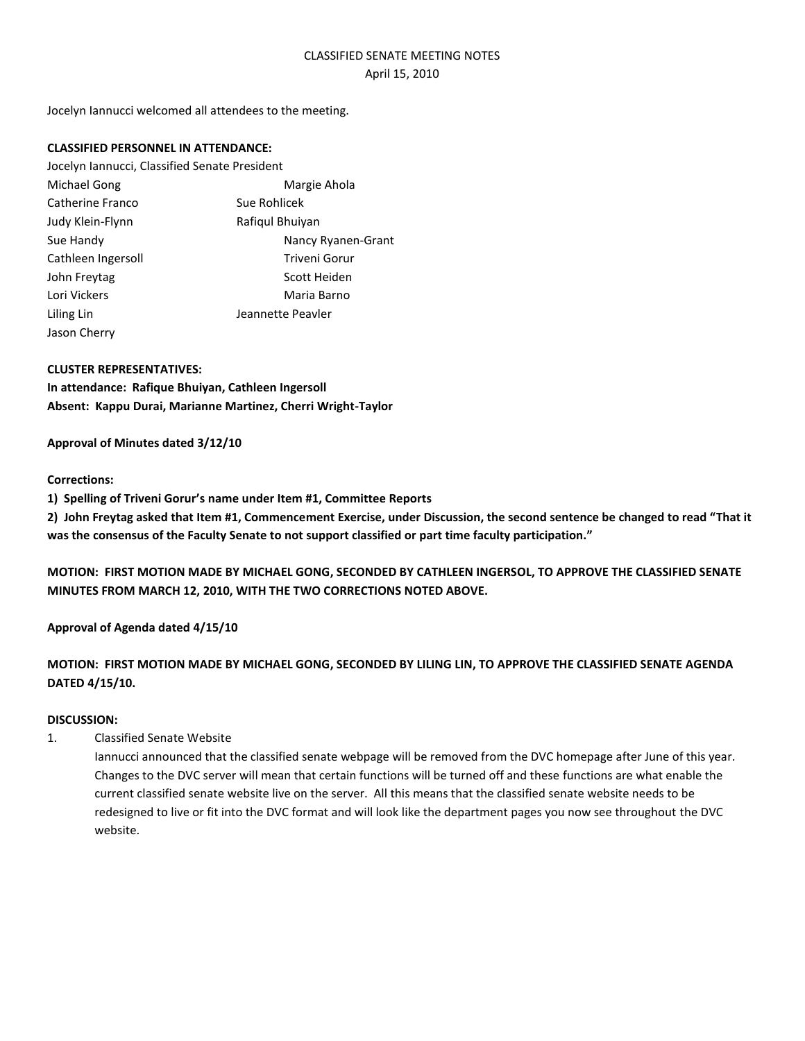# CLASSIFIED SENATE MEETING NOTES April 15, 2010

Jocelyn Iannucci welcomed all attendees to the meeting.

# **CLASSIFIED PERSONNEL IN ATTENDANCE:**

| Jocelyn Iannucci, Classified Senate President |                    |
|-----------------------------------------------|--------------------|
| Michael Gong                                  | Margie Ahola       |
| Catherine Franco                              | Sue Rohlicek       |
| Judy Klein-Flynn                              | Rafigul Bhuiyan    |
| Sue Handy                                     | Nancy Ryanen-Grant |
| Cathleen Ingersoll                            | Triveni Gorur      |
| John Freytag                                  | Scott Heiden       |
| Lori Vickers                                  | Maria Barno        |
| Liling Lin                                    | Jeannette Peavler  |
| Jason Cherry                                  |                    |

## **CLUSTER REPRESENTATIVES:**

**In attendance: Rafique Bhuiyan, Cathleen Ingersoll Absent: Kappu Durai, Marianne Martinez, Cherri Wright-Taylor**

## **Approval of Minutes dated 3/12/10**

#### **Corrections:**

**1) Spelling of Triveni Gorur's name under Item #1, Committee Reports**

**2) John Freytag asked that Item #1, Commencement Exercise, under Discussion, the second sentence be changed to read "That it was the consensus of the Faculty Senate to not support classified or part time faculty participation."**

**MOTION: FIRST MOTION MADE BY MICHAEL GONG, SECONDED BY CATHLEEN INGERSOL, TO APPROVE THE CLASSIFIED SENATE MINUTES FROM MARCH 12, 2010, WITH THE TWO CORRECTIONS NOTED ABOVE.**

# **Approval of Agenda dated 4/15/10**

# **MOTION: FIRST MOTION MADE BY MICHAEL GONG, SECONDED BY LILING LIN, TO APPROVE THE CLASSIFIED SENATE AGENDA DATED 4/15/10.**

# **DISCUSSION:**

1. Classified Senate Website

Iannucci announced that the classified senate webpage will be removed from the DVC homepage after June of this year. Changes to the DVC server will mean that certain functions will be turned off and these functions are what enable the current classified senate website live on the server. All this means that the classified senate website needs to be redesigned to live or fit into the DVC format and will look like the department pages you now see throughout the DVC website.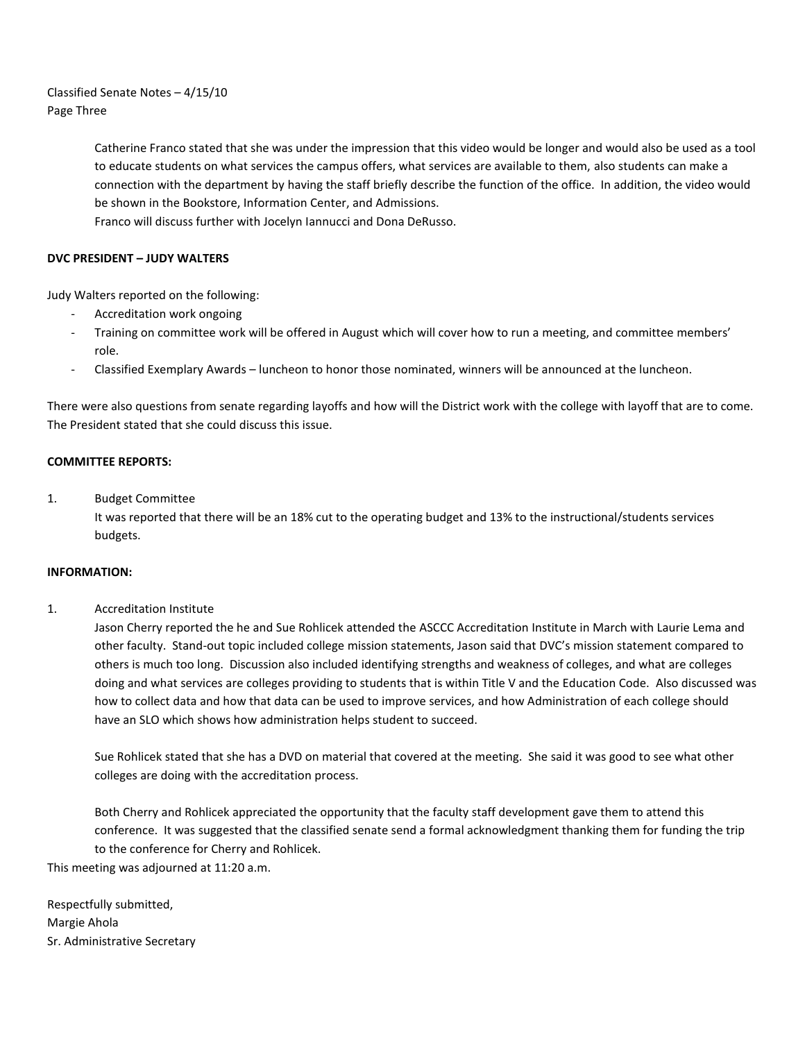Classified Senate Notes – 4/15/10 Page Three

> Catherine Franco stated that she was under the impression that this video would be longer and would also be used as a tool to educate students on what services the campus offers, what services are available to them, also students can make a connection with the department by having the staff briefly describe the function of the office. In addition, the video would be shown in the Bookstore, Information Center, and Admissions.

Franco will discuss further with Jocelyn Iannucci and Dona DeRusso.

# **DVC PRESIDENT – JUDY WALTERS**

Judy Walters reported on the following:

- Accreditation work ongoing
- Training on committee work will be offered in August which will cover how to run a meeting, and committee members' role.
- Classified Exemplary Awards luncheon to honor those nominated, winners will be announced at the luncheon.

There were also questions from senate regarding layoffs and how will the District work with the college with layoff that are to come. The President stated that she could discuss this issue.

#### **COMMITTEE REPORTS:**

## 1. Budget Committee

It was reported that there will be an 18% cut to the operating budget and 13% to the instructional/students services budgets.

#### **INFORMATION:**

#### 1. Accreditation Institute

Jason Cherry reported the he and Sue Rohlicek attended the ASCCC Accreditation Institute in March with Laurie Lema and other faculty. Stand-out topic included college mission statements, Jason said that DVC's mission statement compared to others is much too long. Discussion also included identifying strengths and weakness of colleges, and what are colleges doing and what services are colleges providing to students that is within Title V and the Education Code. Also discussed was how to collect data and how that data can be used to improve services, and how Administration of each college should have an SLO which shows how administration helps student to succeed.

Sue Rohlicek stated that she has a DVD on material that covered at the meeting. She said it was good to see what other colleges are doing with the accreditation process.

Both Cherry and Rohlicek appreciated the opportunity that the faculty staff development gave them to attend this conference. It was suggested that the classified senate send a formal acknowledgment thanking them for funding the trip to the conference for Cherry and Rohlicek.

This meeting was adjourned at 11:20 a.m.

Respectfully submitted, Margie Ahola Sr. Administrative Secretary